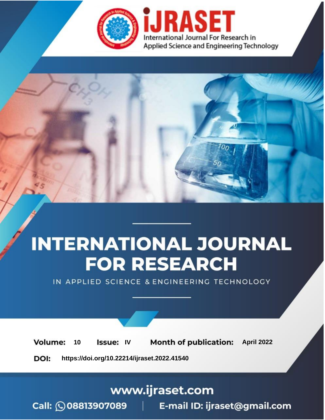

# **INTERNATIONAL JOURNAL FOR RESEARCH**

IN APPLIED SCIENCE & ENGINEERING TECHNOLOGY

10 **Issue: IV Month of publication:** April 2022 **Volume:** 

**https://doi.org/10.22214/ijraset.2022.41540**DOI:

www.ijraset.com

Call: 008813907089 | E-mail ID: ijraset@gmail.com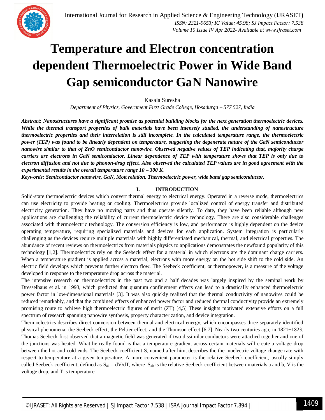### **Temperature and Electron concentration dependent Thermoelectric Power in Wide Band Gap semiconductor GaN Nanowire**

Kasala Suresha

*Department of Physics, Government First Grade College, Hosadurga – 577 527, India*

*Abstract: Nanostructures have a significant promise as potential building blocks for the next generation thermoelectric devices. While the thermal transport properties of bulk materials have been intensely studied, the understanding of nanostructure thermoelectric properties and their interrelation is still incomplete. In the calculated temperature range, the thermoelectric power (TEP) was found to be linearly dependent on temperature, suggesting the degenerate nature of the GaN semiconductor nanowire similar to that of ZnO semiconductor nanowire. Observed negative values of TEP indicating that, majority charge carriers are electrons in GaN semiconductor. Linear dependence of TEP with temperature shows that TEP is only due to electron diffusion and not due to phonon-drag effect. Also observed the calculated TEP values are in good agreement with the experimental results in the overall temperature range 10 – 300 K.*

*Keywords: Semiconductor nanowire, GaN, Mott relation, Thermoelectric power, wide band gap semiconductor.*

#### **I. INTRODUCTION**

Solid-state thermoelectric devices which convert thermal energy to electrical energy. Operated in a reverse mode, thermoelectrics can use electricity to provide heating or cooling. Thermoelectrics provide localized control of energy transfer and distributed electricity generation. They have no moving parts and thus operate silently. To date, they have been reliable although new applications are challenging the reliability of current thermoelectric device technology. There are also considerable challenges associated with thermoelectric technology. The conversion efficiency is low, and performance is highly dependent on the device operating temperature, requiring specialized materials and devices for each application. System integration is particularly challenging as the devices require multiple materials with highly differentiated mechanical, thermal, and electrical properties. The abundance of recent reviews on thermoelectrics from materials physics to applications demonstrates the newfound popularity of this technology [1,2]. Thermoelectrics rely on the Seebeck effect for a material in which electrons are the dominant charge carriers. When a temperature gradient is applied across a material, electrons with more energy on the hot side shift to the cold side. An electric field develops which prevents further electron flow. The Seebeck coefficient, or thermopower, is a measure of the voltage developed in response to the temperature drop across the material.

The intensive research on thermoelectrics in the past two and a half decades was largely inspired by the seminal work by Dresselhaus et al. in 1993, which predicted that quantum confinement effects can lead to a drastically enhanced thermoelectric power factor in low-dimensional materials [3]. It was also quickly realized that the thermal conductivity of nanowires could be reduced remarkably, and that the combined effects of enhanced power factor and reduced thermal conductivity provide an extremely promising route to achieve high thermoelectric figures of merit (ZT) [4,5] These insights motivated extensive efforts on a full spectrum of research spanning nanowire synthesis, property characterization, and device integration.

Thermoelectrics describes direct conversion between thermal and electrical energy, which encompasses three separately identified physical phenomena: the Seebeck effect, the Peltier effect, and the Thomson effect [6,7]. Nearly two centuries ago, in 1821−1823, Thomas Seebeck first observed that a magnetic field was generated if two dissimilar conductors were attached together and one of the junctions was heated. What he really found is that a temperature gradient across certain materials will create a voltage drop between the hot and cold ends. The Seebeck coefficient S, named after him, describes the thermoelectric voltage change rate with respect to temperature at a given temperature. A more convenient parameter is the relative Seebeck coefficient, usually simply called Seebeck coefficient, defined as  $S_{ab} = dV/dT$ , where  $S_{ab}$  is the relative Seebeck coefficient between materials a and b, V is the voltage drop, and T is temperature.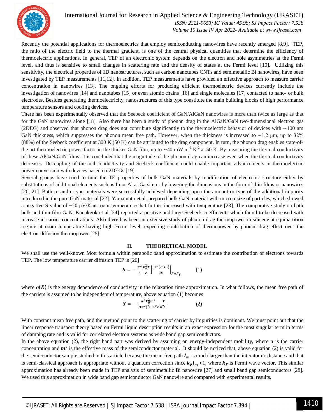

International Journal for Research in Applied Science & Engineering Technology (IJRASET**)**

 *ISSN: 2321-9653; IC Value: 45.98; SJ Impact Factor: 7.538 Volume 10 Issue IV Apr 2022- Available at www.ijraset.com*

Recently the potential applications for thermoelectrics that employ semiconducting nanowires have recently emerged [8,9]. TEP, the ratio of the electric field to the thermal gradient, is one of the central physical quantities that determine the efficiency of thermoelectric applications. In general, TEP of an electronic system depends on the electron and hole asymmetries at the Fermi level, and thus is sensitive to small changes in scattering rate and the density of states at the Fermi level [10]. Utilizing this sensitivity, the electrical properties of 1D nanostructures, such as carbon nanotubes CNTs and semimetallic Bi nanowires, have been investigated by TEP measurements [11,12]. In addition, TEP measurements have provided an effective approach to measure carrier concentration in nanowires [13]. The ongoing efforts for producing efficient thermoelectric devices currently include the investigation of nanowires [14] and nanotubes [15] or even atomic chains [16] and single molecules [17] contacted to nano- or bulk electrodes. Besides generating thermoelectricity, nanostructures of this type constitute the main building blocks of high performance temperature sensors and cooling devices.

There has been experimentally observed that the Seebeck coefficient of GaN/AlGaN nanowires is more than twice as large as that for the GaN nanowires alone [18]. Also there has been a study of phonon drag in the AlGaN/GaN two-dimensional electron gas (2DEG) and observed that phonon drag does not contribute significantly to the thermoelectric behavior of devices with ∼100 nm GaN thickness, which suppresses the phonon mean free path. However, when the thickness is increased to ∼1.2 μm, up to 32% (88%) of the Seebeck coefficient at 300 K (50 K) can be attributed to the drag component. In turn, the phonon drag enables state-ofthe-art thermoelectric power factor in the thicker GaN film, up to ~40 mW m<sup>-1</sup> K<sup>-2</sup> at 50 K. By measuring the thermal conductivity of these AlGaN/GaN films. It is concluded that the magnitude of the phonon drag can increase even when the thermal conductivity decreases. Decoupling of thermal conductivity and Seebeck coefficient could enable important advancements in thermoelectric power conversion with devices based on 2DEGs [19].

Several groups have tried to tune the TE properties of bulk GaN materials by modification of electronic structure either by substitutions of additional elements such as In or Al at Ga site or by lowering the dimensions in the form of thin films or nanowires [20, 21]. Both p- and n-type materials were successfully achieved depending upon the amount or type of the additional impurity introduced in the pure GaN material [22]. Yamamoto et al. prepared bulk GaN material with micron size of particles, which showed a negative S value of −50 μV/K at room temperature that further increased with temperature [23]. The comparative study on both bulk and thin-film GaN, Kucukgok et al [24] reported a positive and large Seebeck coefficients which found to be decreased with increase in carrier concentrations. Also there has been an extensive study of phonon drag thermopower in silicene at equipartition regime at room temperature having high Fermi level, expecting contribution of thermopower by phonon-drag effect over the electron-diffusion thermopower [25].

#### **II. THEORETICAL MODEL**

We shall use the well-known Mott formula within parabolic band approximation to estimate the contribution of electrons towards TEP. The low temperature carrier diffusion TEP is [26]

$$
\mathbf{S} = -\frac{\pi^2}{3} \frac{k_B^2 T}{e} \left| \frac{\partial \ln(\sigma(E))}{\partial E} \right|_{E=E_F} \tag{1}
$$

where  $\sigma(E)$  is the energy dependence of conductivity in the relaxation time approximation. In what follows, the mean free path of the carriers is assumed to be independent of temperature, above equation (1) becomes

$$
\mathbf{S} = -\frac{\pi^2 k_B^2 m^*}{(3\pi^2)^{2/3} \hbar^2 e} \frac{T}{n^{2/3}} \tag{2}
$$

With constant mean free path, and the method point to the scattering of carrier by impurities is dominant. We must point out that the linear response transport theory based on Fermi liquid description results in an exact expression for the most singular term in terms of damping rate and is valid for correlated electron systems as wide band gap semiconductors.

In the above equation (2), the right hand part was derived by assuming an energy-independent mobility, where n is the carrier concentration and  $m^*$  is the effective mass of the semiconductor material. It should be noticed that, above equation (2) is valid for the semiconductor sample studied in this article because the mean free path  $l_m$  is much larger than the interatomic distance and that is semi-classical approach is appropriate without a quantum correction since  $k_F l_m \approx 1$ , where  $k_F$  is Fermi wave vector. This similar approximation has already been made in TEP analysis of semimetallic Bi nanowire [27] and small band gap semiconductors [28]. We used this approximation in wide band gap semiconductor GaN nanowire and compared with experimental results.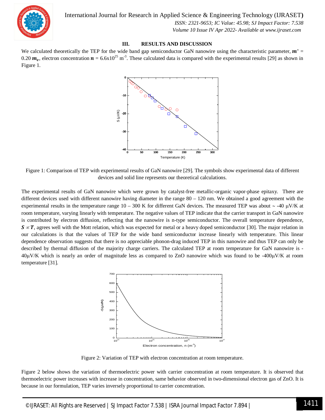

 *ISSN: 2321-9653; IC Value: 45.98; SJ Impact Factor: 7.538 Volume 10 Issue IV Apr 2022- Available at www.ijraset.com*

#### **III. RESULTS AND DISCUSSION**

We calculated theoretically the TEP for the wide band gap semiconductor GaN nanowire using the characteristic parameter,  $m^*$ 0.20  $m_e$ , electron concentration  $n = 6.6 \times 10^{25}$  m<sup>-3</sup>. These calculated data is compared with the experimental results [29] as shown in Figure 1.



Figure 1: Comparison of TEP with experimental results of GaN nanowire [29]. The symbols show experimental data of different devices and solid line represents our theoretical calculations.

The experimental results of GaN nanowire which were grown by catalyst-free metallic-organic vapor-phase epitaxy. There are different devices used with different nanowire having diameter in the range 80 – 120 nm. We obtained a good agreement with the experimental results in the temperature range  $10 - 300$  K for different GaN devices. The measured TEP was about  $\sim$  -40  $\mu$ V/K at room temperature, varying linearly with temperature. The negative values of TEP indicate that the carrier transport in GaN nanowire is contributed by electron diffusion, reflecting that the nanowire is n-type semiconductor. The overall temperature dependence,  $S \propto T$ , agrees well with the Mott relation, which was expected for metal or a heavy doped semiconductor [30]. The major relation in our calculations is that the values of TEP for the wide band semiconductor increase linearly with temperature. This linear dependence observation suggests that there is no appreciable phonon-drag induced TEP in this nanowire and thus TEP can only be described by thermal diffusion of the majority charge carriers. The calculated TEP at room temperature for GaN nanowire is -  $40\mu$ V/K which is nearly an order of magnitude less as compared to ZnO nanowire which was found to be -400 $\mu$ V/K at room temperature [31].



Figure 2: Variation of TEP with electron concentration at room temperature.

Figure 2 below shows the variation of thermoelectric power with carrier concentration at room temperature. It is observed that thermoelectric power increases with increase in concentration, same behavior observed in two-dimensional electron gas of ZnO. It is because in our formulation, TEP varies inversely proportional to carrier concentration.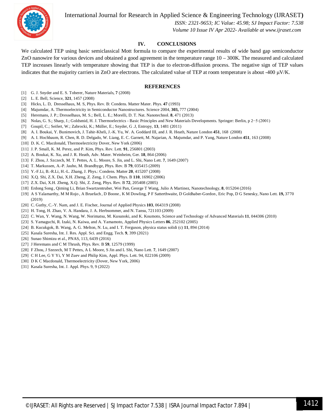International Journal for Research in Applied Science & Engineering Technology (IJRASET**)**



 *ISSN: 2321-9653; IC Value: 45.98; SJ Impact Factor: 7.538 Volume 10 Issue IV Apr 2022- Available at www.ijraset.com*

#### **IV. CONCLUSIONS**

We calculated TEP using basic semiclassical Mott formula to compare the experimental results of wide band gap semiconductor ZnO nanowire for various devices and obtained a good agreement in the temperature range 10 – 300K. The measured and calculated TEP increases linearly with temperature showing that TEP is due to electron-diffusion process. The negative sign of TEP values indicates that the majority carriers in ZnO are electrons. The calculated value of TEP at room temperature is about -400  $\mu$ V/K.

#### **REFERENCES**

- [1] G. J. Snyder and E. S. Toberer, Nature Materials, **7** (2008)
- [2] L. E. Bell, Science, **321**, 1457 (2008)
- [3] Hicks, L. D, Dresselhaus, M. S, Phys. Rev. B: Condens. Matter Mater. Phys. **47** (1993)
- [4] Majumdar, A. Thermoelectricity in Semiconductor Nanostructures. Science 2004, **303,** 777 (2004)
- [5] Heremans, J. P.; Dresselhaus, M. S.; Bell, L. E.; Morelli, D. T. Nat. Nanotechnol. **8**, 471 (2013)
- [6] Nolas, G. S.; Sharp, J.; Goldsmid, H. J. Thermoelectrics Basic Principles and New Materials Developments. Springer: Berlin, p 2−5 (2001)
- [7] Goupil, C.; Seifert, W.; Zabrocki, K.; Müller, E.; Snyder, G .J, Entropy, **13**, 1481 (2011)
- [8] A. I. Boukai, Y. Bunimovich, J. Tahir-Kheli, J.-K. Yu, W. A. Goddard III, and J. R. Heath, Nature London **451**, 168 (2008)
- [9] A. I. Hochbaum, R. Chen, R. D. Delgado, W. Liang, E. C. Garnett, M. Najarian, A. Majumdar, and P. Yang, Nature London **451**, 163 (2008)
- [10] D. K. C. Macdonald, Thermoelectricity Dover, New York (2006)
- [11] J. P. Small, K. M. Perez, and P. Kim, Phys. Rev. Lett. **91**, 256801 (2003)
- [12] A. Boukai, K. Xu, and J. R. Heath, Adv. Mater. Weinheim, Ger. **18**, 864 (2006)
- [13] F. Zhou, J. Szczech, M. T. Pettes, A. L. Moore, S. Jin, and L. Shi, Nano Lett. **7**, 1649 (2007)
- [14] T. Markussen, A.-P. Jauho, M. Brandbyge, Phys. Rev. B **79**, 035415 (2009)
- [15] Y.-F.Li, B.-R.Li, H.-L. Zhang, J. Phys.: Condens. Matter **20**, 415207 (2008)
- [16] X.Q. Shi, Z.X. Dai, X.H. Zheng, Z. Zeng, J. Chem. Phys. B **110**, 16902 (2006)
- [17] Z.X. Dai, X.H. Zheng, X.Q. Shi, Z. Zeng, Phys. Rev. B **72**, 205408 (2005)
- [18] Erdong Song , Qiming Li, Brian Swartzentruber, Wei Pan, George T Wang, Julio A Martinez, Nanotechnology, **8**, 015204 (2016)
- [19] A S Yalamarthy, M M Rojo , A Bruefach , D Boone , K M Dowling, P F Satterthwaite, D Goldhaber-Gordon , Eric Pop, D G Senesky, Nano Lett. **19,** 3770 (2019)
- [20] C. Guthy, C.-Y. Nam, and J. E. Fischer, Journal of Applied Physics **103**, 064319 (2008)
- [21] H. Tong, H. Zhao, V. A. Handara, J. A. Herbsommer, and N. Tansu, 721103 (2009)
- [22] C. Wan, Y. Wang, N. Wang, W. Norimatsu, M. Kusunoki, and K. Koumoto, Science and Technology of Advanced Materials **11**, 044306 (2010)
- [23] S. Yamaguchi, R. Izaki, N. Kaiwa, and A. Yamamoto, Applied Physics Letters **86**, 252102 (2005)
- [24] B. Kucukgok, B. Wang, A. G. Melton, N. Lu, and I. T. Ferguson, physica status solidi (c) **11**, 894 (2014)
- [25] Kasala Suresha, Int. J. Res. Appl. Sci. and Engg. Tech. **9**, 399 (2021)
- [26] Sunao Shimizu et al., PNAS, 113, 6439 (2016)
- [27] J Heremans and C M Thrush, Phys. Rev. B **59**, 12579 (1999)
- [28] F Zhou, J Szezech, M T Pettes, A L Moore, S Jin and L Shi, Nano Lett. **7**, 1649 (2007)
- [29] C H Lee, G Y Yi, Y M Zuev and Philip Kim, Appl. Phys. Lett. 94, 022106 (2009)
- [30] D K C Macdonald, Thermoelectricity (Dover, New York, 2006)
- [31] Kasala Suresha, Int. J. Appl. Phys. 9, 9 (2022)